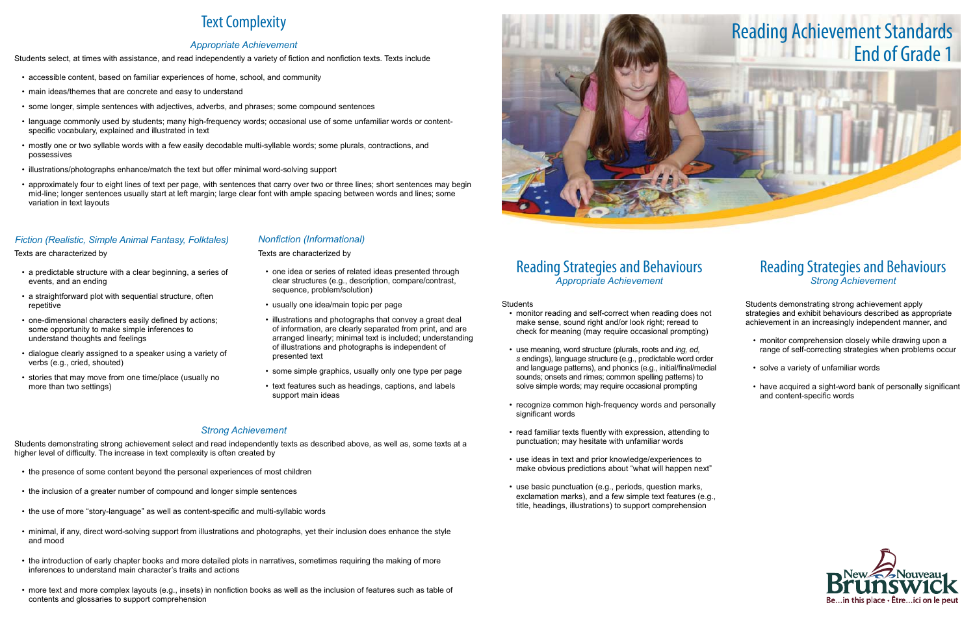## Reading Strategies and Behaviours *Appropriate Achievement*

#### Students

- monitor reading and self-correct when reading does not make sense, sound right and/or look right; reread to check for meaning (may require occasional prompting)
- • use meaning, word structure (plurals, roots and *ing, ed, s* endings), language structure (e.g., predictable word order and language patterns), and phonics (e.g., initial/final/medial sounds; onsets and rimes; common spelling patterns) to solve simple words; may require occasional prompting
- recognize common high-frequency words and personally significant words
- read familiar texts fluently with expression, attending to punctuation; may hesitate with unfamiliar words
- • use ideas in text and prior knowledge/experiences to make obvious predictions about "what will happen next"
- use basic punctuation (e.g., periods, question marks, exclamation marks), and a few simple text features (e.g., title, headings, illustrations) to support comprehension

- monitor comprehension closely while drawing upon a range of self-correcting strategies when problems occur
- solve a variety of unfamiliar words
- have acquired a sight-word bank of personally significant and content-specific words



## Reading Strategies and Behaviours *Strong Achievement*

Students demonstrating strong achievement apply strategies and exhibit behaviours described as appropriate achievement in an increasingly independent manner, and

- accessible content, based on familiar experiences of home, school, and community
- main ideas/themes that are concrete and easy to understand
- some longer, simple sentences with adjectives, adverbs, and phrases; some compound sentences
- • language commonly used by students; many high-frequency words; occasional use of some unfamiliar words or contentspecific vocabulary, explained and illustrated in text
- • mostly one or two syllable words with a few easily decodable multi-syllable words; some plurals, contractions, and possessives
- • illustrations/photographs enhance/match the text but offer minimal word-solving support
- • approximately four to eight lines of text per page, with sentences that carry over two or three lines; short sentences may begin mid-line; longer sentences usually start at left margin; large clear font with ample spacing between words and lines; some variation in text layouts

## Text Complexity

### *Appropriate Achievement*

- a predictable structure with a clear beginning, a series of events, and an ending
- a straightforward plot with sequential structure, often repetitive
- one-dimensional characters easily defined by actions; some opportunity to make simple inferences to understand thoughts and feelings
- dialogue clearly assigned to a speaker using a variety of verbs (e.g., cried, shouted)
- stories that may move from one time/place (usually no more than two settings)

Students select, at times with assistance, and read independently a variety of fiction and nonfiction texts. Texts include

- one idea or series of related ideas presented through clear structures (e.g., description, compare/contrast, sequence, problem/solution)
- usually one idea/main topic per page
- illustrations and photographs that convey a great deal of information, are clearly separated from print, and are arranged linearly; minimal text is included; understanding of illustrations and photographs is independent of presented text
- some simple graphics, usually only one type per page
- text features such as headings, captions, and labels support main ideas

- the presence of some content beyond the personal experiences of most children
- the inclusion of a greater number of compound and longer simple sentences
- • the use of more "story-language" as well as content-specific and multi-syllabic words
- • minimal, if any, direct word-solving support from illustrations and photographs, yet their inclusion does enhance the style and mood
- the introduction of early chapter books and more detailed plots in narratives, sometimes requiring the making of more inferences to understand main character's traits and actions
- • more text and more complex layouts (e.g., insets) in nonfiction books as well as the inclusion of features such as table of contents and glossaries to support comprehension

#### *Fiction (Realistic, Simple Animal Fantasy, Folktales)*

Texts are characterized by

#### *Nonfiction (Informational)*

Texts are characterized by

### *Strong Achievement*

Students demonstrating strong achievement select and read independently texts as described above, as well as, some texts at a higher level of difficulty. The increase in text complexity is often created by